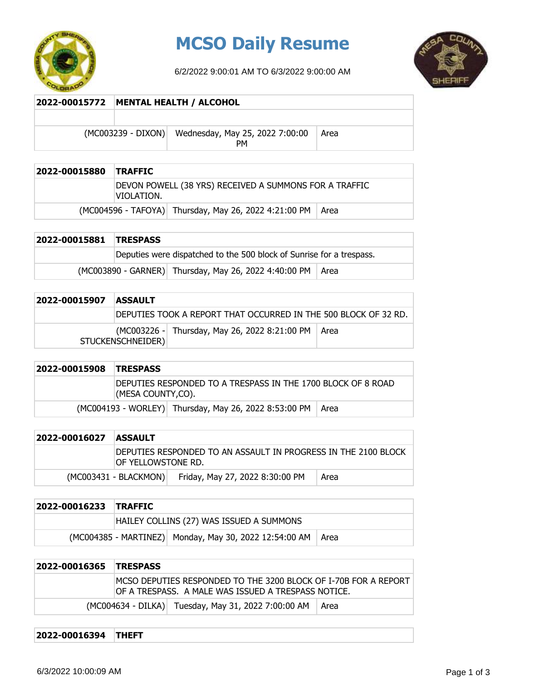

## **MCSO Daily Resume**

6/2/2022 9:00:01 AM TO 6/3/2022 9:00:00 AM



## **2022-00015772 MENTAL HEALTH / ALCOHOL** (MC003239 - DIXON) Wednesday, May 25, 2022 7:00:00 PM Area

| 2022-00015880 | <b>TRAFFIC</b>                                                       |
|---------------|----------------------------------------------------------------------|
|               | DEVON POWELL (38 YRS) RECEIVED A SUMMONS FOR A TRAFFIC<br>VIOLATION. |
|               | (MC004596 - TAFOYA) Thursday, May 26, 2022 4:21:00 PM   Area         |

| 2022-00015881 TRESPASS |                                                                      |  |  |
|------------------------|----------------------------------------------------------------------|--|--|
|                        | Deputies were dispatched to the 500 block of Sunrise for a trespass. |  |  |
|                        | (MC003890 - GARNER) Thursday, May 26, 2022 4:40:00 PM   Area         |  |  |

| 2022-00015907 | <b>ASSAULT</b>    |                                                                  |  |
|---------------|-------------------|------------------------------------------------------------------|--|
|               |                   | IDEPUTIES TOOK A REPORT THAT OCCURRED IN THE 500 BLOCK OF 32 RD. |  |
|               | STUCKENSCHNEIDER) | (MC003226 - Thursday, May 26, 2022 8:21:00 PM   Area             |  |

| 2022-00015908 | <b>TRESPASS</b>                                                                    |                                                              |  |
|---------------|------------------------------------------------------------------------------------|--------------------------------------------------------------|--|
|               | IDEPUTIES RESPONDED TO A TRESPASS IN THE 1700 BLOCK OF 8 ROAD<br>(MESA COUNTY,CO). |                                                              |  |
|               |                                                                                    | (MC004193 - WORLEY) Thursday, May 26, 2022 8:53:00 PM   Area |  |

| 2022-00016027 | <b>ASSAULT</b>                                                                        |                                 |      |
|---------------|---------------------------------------------------------------------------------------|---------------------------------|------|
|               | DEPUTIES RESPONDED TO AN ASSAULT IN PROGRESS IN THE 2100 BLOCK<br>IOF YELLOWSTONE RD. |                                 |      |
|               | $(MCOO3431 - BLACKMON)$                                                               | Friday, May 27, 2022 8:30:00 PM | Area |

| 2022-00016233 TRAFFIC |  |                                                               |  |
|-----------------------|--|---------------------------------------------------------------|--|
|                       |  | HAILEY COLLINS (27) WAS ISSUED A SUMMONS                      |  |
|                       |  | (MC004385 - MARTINEZ) Monday, May 30, 2022 12:54:00 AM   Area |  |

| 2022-00016365 TRESPASS |  |                                                                                                                        |        |
|------------------------|--|------------------------------------------------------------------------------------------------------------------------|--------|
|                        |  | MCSO DEPUTIES RESPONDED TO THE 3200 BLOCK OF I-70B FOR A REPORT<br>OF A TRESPASS. A MALE WAS ISSUED A TRESPASS NOTICE. |        |
|                        |  | (MC004634 - DILKA) Tuesday, May 31, 2022 7:00:00 AM                                                                    | l Area |

## **2022-00016394 THEFT**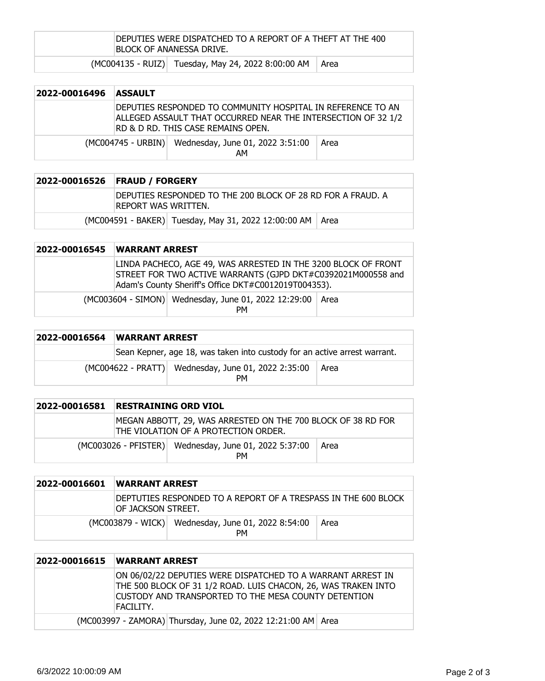| DEPUTIES WERE DISPATCHED TO A REPORT OF A THEFT AT THE 400<br>IBLOCK OF ANANESSA DRIVE. |                                                           |  |  |
|-----------------------------------------------------------------------------------------|-----------------------------------------------------------|--|--|
|                                                                                         | (MC004135 - RUIZ) Tuesday, May 24, 2022 8:00:00 AM   Area |  |  |

| 2022-00016496 | <b>ASSAULT</b> |                                                                                                                                                                    |      |
|---------------|----------------|--------------------------------------------------------------------------------------------------------------------------------------------------------------------|------|
|               |                | DEPUTIES RESPONDED TO COMMUNITY HOSPITAL IN REFERENCE TO AN<br>ALLEGED ASSAULT THAT OCCURRED NEAR THE INTERSECTION OF 32 1/2<br>RD & D RD. THIS CASE REMAINS OPEN. |      |
|               |                | (MC004745 - URBIN) Wednesday, June 01, 2022 3:51:00<br>AМ                                                                                                          | Area |

| 2022-00016526 | <b>FRAUD / FORGERY</b>                                                              |  |  |
|---------------|-------------------------------------------------------------------------------------|--|--|
|               | IDEPUTIES RESPONDED TO THE 200 BLOCK OF 28 RD FOR A FRAUD. A<br>REPORT WAS WRITTEN. |  |  |
|               | (MC004591 - BAKER) Tuesday, May 31, 2022 12:00:00 AM   Area                         |  |  |

| 2022-00016545 | <b>WARRANT ARREST</b> |                                                                                                                                                                                        |      |
|---------------|-----------------------|----------------------------------------------------------------------------------------------------------------------------------------------------------------------------------------|------|
|               |                       | LINDA PACHECO, AGE 49, WAS ARRESTED IN THE 3200 BLOCK OF FRONT<br>STREET FOR TWO ACTIVE WARRANTS (GJPD DKT#C0392021M000558 and<br>Adam's County Sheriff's Office DKT#C0012019T004353). |      |
|               |                       | (MC003604 - SIMON) Wednesday, June 01, 2022 12:29:00<br><b>PM</b>                                                                                                                      | Area |

| 2022-00016564 | <b>WARRANT ARREST</b>                                                     |                                                           |      |
|---------------|---------------------------------------------------------------------------|-----------------------------------------------------------|------|
|               | Sean Kepner, age 18, was taken into custody for an active arrest warrant. |                                                           |      |
|               |                                                                           | (MC004622 - PRATT) Wednesday, June 01, 2022 2:35:00<br>PМ | Area |

| 2022-00016581 | <b>RESTRAINING ORD VIOL</b>                                                                          |      |
|---------------|------------------------------------------------------------------------------------------------------|------|
|               | MEGAN ABBOTT, 29, WAS ARRESTED ON THE 700 BLOCK OF 38 RD FOR<br>THE VIOLATION OF A PROTECTION ORDER. |      |
|               | (MC003026 - PFISTER) Wednesday, June 01, 2022 5:37:00<br><b>PM</b>                                   | Area |

| 2022-00016601 | <b>WARRANT ARREST</b> |                                                                 |      |
|---------------|-----------------------|-----------------------------------------------------------------|------|
|               | IOF JACKSON STREET.   | DEPTUTIES RESPONDED TO A REPORT OF A TRESPASS IN THE 600 BLOCK  |      |
|               |                       | (MC003879 - WICK) Wednesday, June 01, 2022 8:54:00<br><b>PM</b> | Area |

| 2022-00016615 | <b>WARRANT ARREST</b>                                                                                                                                                                              |
|---------------|----------------------------------------------------------------------------------------------------------------------------------------------------------------------------------------------------|
|               | ON 06/02/22 DEPUTIES WERE DISPATCHED TO A WARRANT ARREST IN<br>THE 500 BLOCK OF 31 1/2 ROAD. LUIS CHACON, 26, WAS TRAKEN INTO<br>CUSTODY AND TRANSPORTED TO THE MESA COUNTY DETENTION<br>FACILITY. |
|               | (MC003997 - ZAMORA) Thursday, June 02, 2022 12:21:00 AM Area                                                                                                                                       |